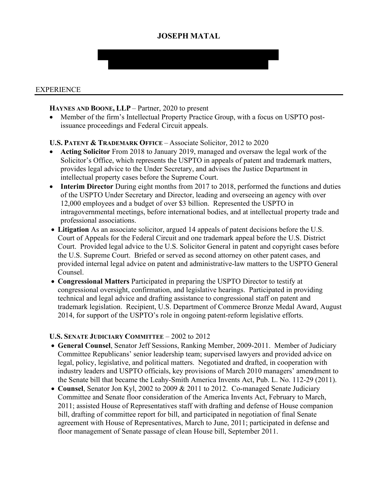# **JOSEPH MATAL**

#### EXPERIENCE

#### **HAYNES AND BOONE, LLP** – Partner, 2020 to present

• Member of the firm's Intellectual Property Practice Group, with a focus on USPTO postissuance proceedings and Federal Circuit appeals.

### **U.S. PATENT & TRADEMARK OFFICE** – Associate Solicitor, 2012 to 2020

- **Acting Solicitor** From 2018 to January 2019, managed and oversaw the legal work of the Solicitor's Office, which represents the USPTO in appeals of patent and trademark matters, provides legal advice to the Under Secretary, and advises the Justice Department in intellectual property cases before the Supreme Court.
- **Interim Director** During eight months from 2017 to 2018, performed the functions and duties of the USPTO Under Secretary and Director, leading and overseeing an agency with over 12,000 employees and a budget of over \$3 billion. Represented the USPTO in intragovernmental meetings, before international bodies, and at intellectual property trade and professional associations.
- **Litigation** As an associate solicitor, argued 14 appeals of patent decisions before the U.S. Court of Appeals for the Federal Circuit and one trademark appeal before the U.S. District Court. Provided legal advice to the U.S. Solicitor General in patent and copyright cases before the U.S. Supreme Court. Briefed or served as second attorney on other patent cases, and provided internal legal advice on patent and administrative-law matters to the USPTO General Counsel.
- **Congressional Matters** Participated in preparing the USPTO Director to testify at congressional oversight, confirmation, and legislative hearings. Participated in providing technical and legal advice and drafting assistance to congressional staff on patent and trademark legislation. Recipient, U.S. Department of Commerce Bronze Medal Award, August 2014, for support of the USPTO's role in ongoing patent-reform legislative efforts.

#### **U.S. SENATE JUDICIARY COMMITTEE** – 2002 to 2012

- **General Counsel**, Senator Jeff Sessions, Ranking Member, 2009-2011. Member of Judiciary Committee Republicans' senior leadership team; supervised lawyers and provided advice on legal, policy, legislative, and political matters. Negotiated and drafted, in cooperation with industry leaders and USPTO officials, key provisions of March 2010 managers' amendment to the Senate bill that became the Leahy-Smith America Invents Act, Pub. L. No. 112-29 (2011).
- **Counsel**, Senator Jon Kyl, 2002 to 2009 & 2011 to 2012. Co-managed Senate Judiciary Committee and Senate floor consideration of the America Invents Act, February to March, 2011; assisted House of Representatives staff with drafting and defense of House companion bill, drafting of committee report for bill, and participated in negotiation of final Senate agreement with House of Representatives, March to June, 2011; participated in defense and floor management of Senate passage of clean House bill, September 2011.